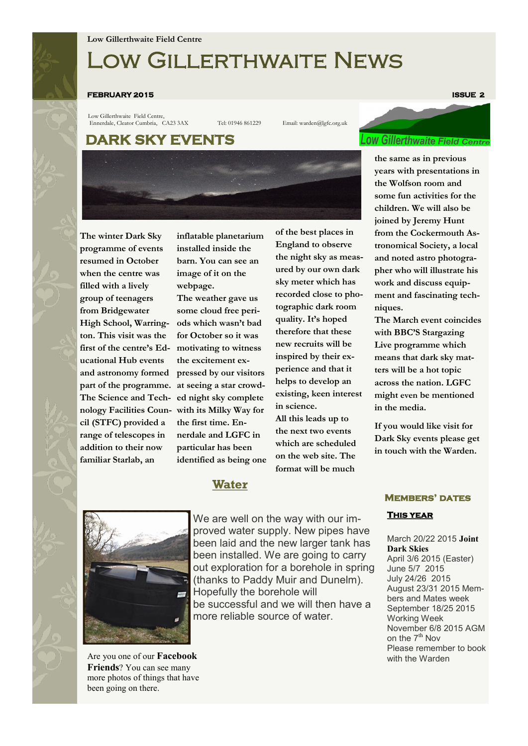# Low Gillerthwaite News

#### **FEBRUARY 2015 ISSUE 2**

Low Gillerthwaite Field Centre, Ennerdale, Cleator Cumbria, CA23 3AX Tel: 01946 861229 Email: warden@lgfc.org.uk

### **DARK SKY EVENTS**



**The winter Dark Sky programme of events resumed in October when the centre was filled with a lively group of teenagers from Bridgewater High School, Warrington. This visit was the first of the centre's Educational Hub events and astronomy formed part of the programme. at seeing a star crowd-The Science and Technology Facilities Coun-with its Milky Way for cil (STFC) provided a range of telescopes in addition to their now familiar Starlab, an** 

**inflatable planetarium installed inside the barn. You can see an image of it on the webpage.**

**The weather gave us some cloud free periods which wasn't bad for October so it was motivating to witness the excitement expressed by our visitors ed night sky complete the first time. Ennerdale and LGFC in particular has been identified as being one** 

**of the best places in England to observe the night sky as measured by our own dark sky meter which has recorded close to photographic dark room quality. It's hoped therefore that these new recruits will be inspired by their experience and that it helps to develop an existing, keen interest in science.**

**All this leads up to the next two events which are scheduled on the web site. The format will be much** 

### **Water**



Are you one of our **Facebook Friends**? You can see many more photos of things that have been going on there.

We are well on the way with our improved water supply. New pipes have been laid and the new larger tank has been installed. We are going to carry out exploration for a borehole in spring (thanks to Paddy Muir and Dunelm). Hopefully the borehole will be successful and we will then have a more reliable source of water.

# **OW Gillerthwaite Field Cent**

**the same as in previous years with presentations in the Wolfson room and some fun activities for the children. We will also be joined by Jeremy Hunt from the Cockermouth Astronomical Society, a local and noted astro photographer who will illustrate his work and discuss equipment and fascinating techniques.**

**The March event coincides with BBC'S Stargazing Live programme which means that dark sky matters will be a hot topic across the nation. LGFC might even be mentioned in the media.** 

**If you would like visit for Dark Sky events please get in touch with the Warden.**

#### **Members' dates**

#### **This year**

March 20/22 2015 **Joint Dark Skies** April 3/6 2015 (Easter) June 5/7 2015 July 24/26 2015 August 23/31 2015 Members and Mates week September 18/25 2015 Working Week November 6/8 2015 AGM on the 7<sup>th</sup> Nov Please remember to book with the Warden